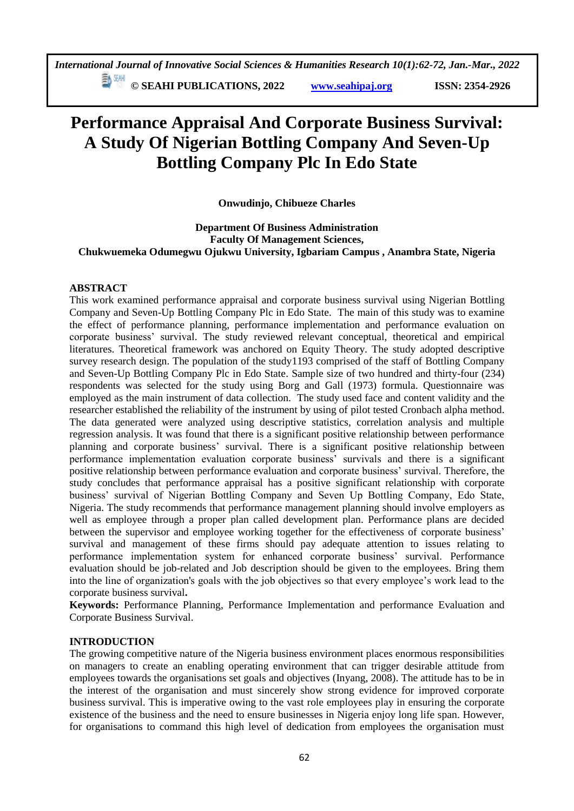**© SEAHI PUBLICATIONS, 2022 [www.seahipaj.org](http://www.seahipaj.org/) ISSN: 2354-2926** 

# **Performance Appraisal And Corporate Business Survival: A Study Of Nigerian Bottling Company And Seven-Up Bottling Company Plc In Edo State**

**Onwudinjo, Chibueze Charles** 

**Department Of Business Administration Faculty Of Management Sciences, Chukwuemeka Odumegwu Ojukwu University, Igbariam Campus , Anambra State, Nigeria**

# **ABSTRACT**

This work examined performance appraisal and corporate business survival using Nigerian Bottling Company and Seven-Up Bottling Company Plc in Edo State. The main of this study was to examine the effect of performance planning, performance implementation and performance evaluation on corporate business' survival. The study reviewed relevant conceptual, theoretical and empirical literatures. Theoretical framework was anchored on Equity Theory. The study adopted descriptive survey research design. The population of the study1193 comprised of the staff of Bottling Company and Seven-Up Bottling Company Plc in Edo State. Sample size of two hundred and thirty-four (234) respondents was selected for the study using Borg and Gall (1973) formula. Questionnaire was employed as the main instrument of data collection. The study used face and content validity and the researcher established the reliability of the instrument by using of pilot tested Cronbach alpha method. The data generated were analyzed using descriptive statistics, correlation analysis and multiple regression analysis. It was found that there is a significant positive relationship between performance planning and corporate business' survival. There is a significant positive relationship between performance implementation evaluation corporate business' survivals and there is a significant positive relationship between performance evaluation and corporate business' survival. Therefore, the study concludes that performance appraisal has a positive significant relationship with corporate business' survival of Nigerian Bottling Company and Seven Up Bottling Company, Edo State, Nigeria. The study recommends that performance management planning should involve employers as well as employee through a proper plan called development plan. Performance plans are decided between the supervisor and employee working together for the effectiveness of corporate business' survival and management of these firms should pay adequate attention to issues relating to performance implementation system for enhanced corporate business' survival. Performance evaluation should be job-related and Job description should be given to the employees. Bring them into the line of organization's goals with the job objectives so that every employee's work lead to the corporate business survival**.**

**Keywords:** Performance Planning, Performance Implementation and performance Evaluation and Corporate Business Survival.

# **INTRODUCTION**

The growing competitive nature of the Nigeria business environment places enormous responsibilities on managers to create an enabling operating environment that can trigger desirable attitude from employees towards the organisations set goals and objectives (Inyang, 2008). The attitude has to be in the interest of the organisation and must sincerely show strong evidence for improved corporate business survival. This is imperative owing to the vast role employees play in ensuring the corporate existence of the business and the need to ensure businesses in Nigeria enjoy long life span. However, for organisations to command this high level of dedication from employees the organisation must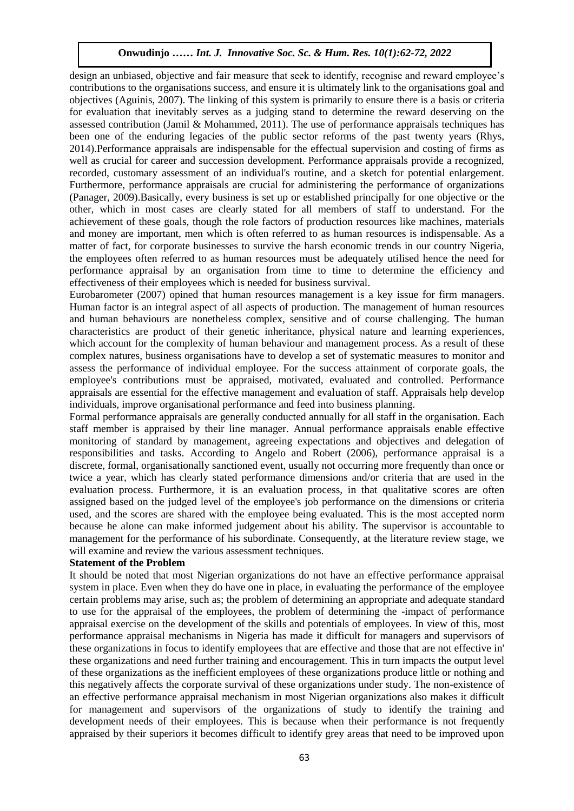design an unbiased, objective and fair measure that seek to identify, recognise and reward employee's contributions to the organisations success, and ensure it is ultimately link to the organisations goal and objectives (Aguinis, 2007). The linking of this system is primarily to ensure there is a basis or criteria objectives (Aguinis, 2007). The finking of this system is primalify to ensure there is a basis of criteria<br>for evaluation that inevitably serves as a judging stand to determine the reward deserving on the assessed contribution (Jamil & Mohammed, 2011). The use of performance appraisals techniques has assessed contribution (sammed Montantined, 2011). The use of performance appraisals techniques has<br>been one of the enduring legacies of the public sector reforms of the past twenty years (Rhys, 2014).Performance appraisals are indispensable for the effectual supervision and costing of firms as Let the crucial for career and succession development. Performance appraisals provide a recognized, recorded, customary assessment of an individual's routine, and a sketch for potential enlargement. Furthermore, performance appraisals are crucial for administering the performance of organizations (Panager, 2009).Basically, every business is set up or established principally for one objective or the other, which in most cases are clearly stated for all members of staff to understand. For the achievement of these goals, though the role factors of production resources like machines, materials and money are important, men which is often referred to as human resources is indispensable. As a matter of fact, for corporate businesses to survive the harsh economic trends in our country Nigeria, the employees often referred to as human resources must be adequately utilised hence the need for performance appraisal by an organisation from time to time to determine the efficiency and effectiveness of their employees which is needed for business survival.

Eurobarometer (2007) opined that human resources management is a key issue for firm managers. Human factor is an integral aspect of all aspects of production. The management of human resources and human behaviours are nonetheless complex, sensitive and of course challenging. The human characteristics are product of their genetic inheritance, physical nature and learning experiences, which account for the complexity of human behaviour and management process. As a result of these complex natures, business organisations have to develop a set of systematic measures to monitor and assess the performance of individual employee. For the success attainment of corporate goals, the employee's contributions must be appraised, motivated, evaluated and controlled. Performance appraisals are essential for the effective management and evaluation of staff. Appraisals help develop individuals, improve organisational performance and feed into business planning.

Formal performance appraisals are generally conducted annually for all staff in the organisation. Each staff member is appraised by their line manager. Annual performance appraisals enable effective monitoring of standard by management, agreeing expectations and objectives and delegation of responsibilities and tasks. According to Angelo and Robert (2006), performance appraisal is a discrete, formal, organisationally sanctioned event, usually not occurring more frequently than once or twice a year, which has clearly stated performance dimensions and/or criteria that are used in the evaluation process. Furthermore, it is an evaluation process, in that qualitative scores are often assigned based on the judged level of the employee's job performance on the dimensions or criteria used, and the scores are shared with the employee being evaluated. This is the most accepted norm because he alone can make informed judgement about his ability. The supervisor is accountable to management for the performance of his subordinate. Consequently, at the literature review stage, we will examine and review the various assessment techniques.

# **Statement of the Problem**

It should be noted that most Nigerian organizations do not have an effective performance appraisal system in place. Even when they do have one in place, in evaluating the performance of the employee certain problems may arise, such as; the problem of determining an appropriate and adequate standard to use for the appraisal of the employees, the problem of determining the -impact of performance appraisal exercise on the development of the skills and potentials of employees. In view of this, most performance appraisal mechanisms in Nigeria has made it difficult for managers and supervisors of these organizations in focus to identify employees that are effective and those that are not effective in' these organizations and need further training and encouragement. This in turn impacts the output level of these organizations as the inefficient employees of these organizations produce little or nothing and this negatively affects the corporate survival of these organizations under study. The non-existence of an effective performance appraisal mechanism in most Nigerian organizations also makes it difficult for management and supervisors of the organizations of study to identify the training and development needs of their employees. This is because when their performance is not frequently appraised by their superiors it becomes difficult to identify grey areas that need to be improved upon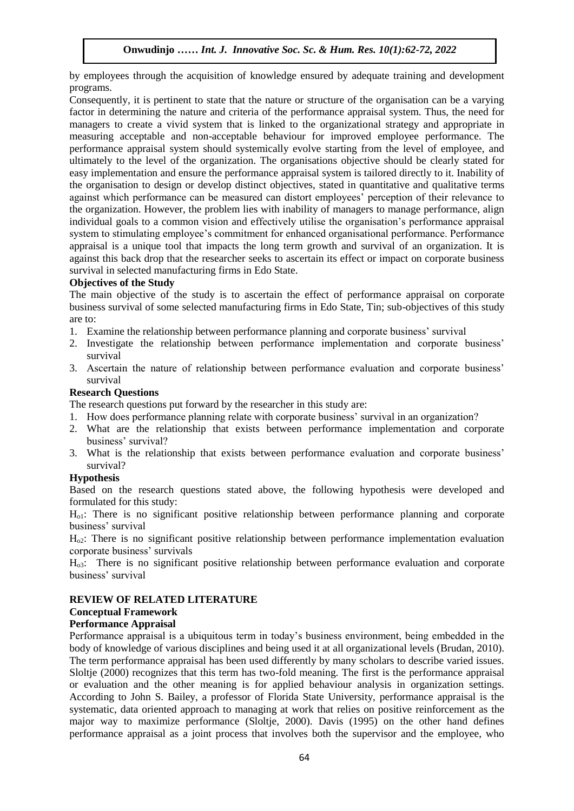by employees through the acquisition of knowledge ensured by adequate training and development programs.

Consequently, it is pertinent to state that the nature or structure of the organisation can be a varying factor in determining the nature and criteria of the performance appraisal system. Thus, the need for managers to create a vivid system that is linked to the organizational strategy and appropriate in measuring acceptable and non-acceptable behaviour for improved employee performance. The performance appraisal system should systemically evolve starting from the level of employee, and ultimately to the level of the organization. The organisations objective should be clearly stated for easy implementation and ensure the performance appraisal system is tailored directly to it. Inability of Easy imprementation and ensure the performance appraisal system is tanoted directly to it. mability of the organisation to design or develop distinct objectives, stated in quantitative and qualitative terms against which performance can be measured can distort employees' perception of their relevance to the organization. However, the problem lies with inability of managers to manage performance, align individual goals to a common vision and effectively utilise the organisation's performance appraisal system to stimulating employee's commitment for enhanced organisational performance. Performance appraisal is a unique tool that impacts the long term growth and survival of an organization. It is against this back drop that the researcher seeks to ascertain its effect or impact on corporate business survival in selected manufacturing firms in Edo State.

# **Objectives of the Study**

The main objective of the study is to ascertain the effect of performance appraisal on corporate business survival of some selected manufacturing firms in Edo State, Tin; sub-objectives of this study are to:

- 1. Examine the relationship between performance planning and corporate business' survival
- 2. Investigate the relationship between performance implementation and corporate business' survival
- 3. Ascertain the nature of relationship between performance evaluation and corporate business' survival

# **Research Questions**

The research questions put forward by the researcher in this study are:

- 1. How does performance planning relate with corporate business' survival in an organization?
- 2. What are the relationship that exists between performance implementation and corporate business' survival?
- 3. What is the relationship that exists between performance evaluation and corporate business' survival?

# **Hypothesis**

Based on the research questions stated above, the following hypothesis were developed and formulated for this study:

Ho1: There is no significant positive relationship between performance planning and corporate business' survival

Ho2: There is no significant positive relationship between performance implementation evaluation corporate business' survivals

Ho3: There is no significant positive relationship between performance evaluation and corporate business' survival

# **REVIEW OF RELATED LITERATURE**

# **Conceptual Framework**

# **Performance Appraisal**

Performance appraisal is a ubiquitous term in today's business environment, being embedded in the body of knowledge of various disciplines and being used it at all organizational levels (Brudan, 2010). The term performance appraisal has been used differently by many scholars to describe varied issues. Sloltje (2000) recognizes that this term has two-fold meaning. The first is the performance appraisal or evaluation and the other meaning is for applied behaviour analysis in organization settings. According to John S. Bailey, a professor of Florida State University, performance appraisal is the systematic, data oriented approach to managing at work that relies on positive reinforcement as the major way to maximize performance (Sloltje, 2000). Davis (1995) on the other hand defines performance appraisal as a joint process that involves both the supervisor and the employee, who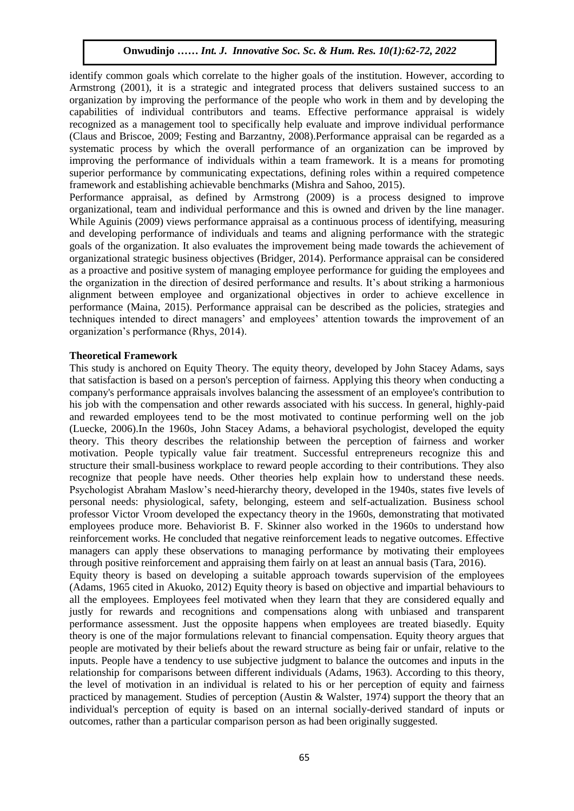identify common goals which correlate to the higher goals of the institution. However, according to Armstrong (2001), it is a strategic and integrated process that delivers sustained success to an organization by improving the performance of the people who work in them and by developing the capabilities of individual contributors and teams. Effective performance appraisal is widely recognized as a management tool to specifically help evaluate and improve individual performance (Claus and Briscoe, 2009; Festing and Barzantny, 2008).Performance appraisal can be regarded as a systematic process by which the overall performance of an organization can be improved by systematic process by which the overall performance of an organization can be improved by improving the performance of individuals within a team framework. It is a means for promoting superior performance by communicating expectations, defining roles within a required competence framework and establishing achievable benchmarks (Mishra and Sahoo, 2015).

Performance appraisal, as defined by Armstrong (2009) is a process designed to improve organizational, team and individual performance and this is owned and driven by the line manager. While Aguinis (2009) views performance appraisal as a continuous process of identifying, measuring and developing performance of individuals and teams and aligning performance with the strategic goals of the organization. It also evaluates the improvement being made towards the achievement of organizational strategic business objectives (Bridger, 2014). Performance appraisal can be considered as a proactive and positive system of managing employee performance for guiding the employees and the organization in the direction of desired performance and results. It's about striking a harmonious alignment between employee and organizational objectives in order to achieve excellence in performance (Maina, 2015). Performance appraisal can be described as the policies, strategies and techniques intended to direct managers' and employees' attention towards the improvement of an organization's performance (Rhys, 2014).

#### **Theoretical Framework**

This study is anchored on Equity Theory. The equity theory, developed by John Stacey Adams, says that satisfaction is based on a person's perception of fairness. Applying this theory when conducting a company's performance appraisals involves balancing the assessment of an employee's contribution to his job with the compensation and other rewards associated with his success. In general, highly-paid and rewarded employees tend to be the most motivated to continue performing well on the job (Luecke, 2006).In the 1960s, John Stacey Adams, a behavioral psychologist, developed the equity theory. This theory describes the relationship between the perception of fairness and worker motivation. People typically value fair treatment. Successful entrepreneurs recognize this and structure their small-business workplace to reward people according to their contributions. They also recognize that people have needs. Other theories help explain how to understand these needs. Psychologist Abraham Maslow's need-hierarchy theory, developed in the 1940s, states five levels of personal needs: physiological, safety, belonging, esteem and self-actualization. Business school professor Victor Vroom developed the expectancy theory in the 1960s, demonstrating that motivated employees produce more. Behaviorist B. F. Skinner also worked in the 1960s to understand how reinforcement works. He concluded that negative reinforcement leads to negative outcomes. Effective managers can apply these observations to managing performance by motivating their employees through positive reinforcement and appraising them fairly on at least an annual basis (Tara, 2016). Equity theory is based on developing a suitable approach towards supervision of the employees (Adams, 1965 cited in Akuoko, 2012) Equity theory is based on objective and impartial behaviours to all the employees. Employees feel motivated when they learn that they are considered equally and justly for rewards and recognitions and compensations along with unbiased and transparent performance assessment. Just the opposite happens when employees are treated biasedly. Equity theory is one of the major formulations relevant to financial compensation. Equity theory argues that people are motivated by their beliefs about the reward structure as being fair or unfair, relative to the inputs. People have a tendency to use subjective judgment to balance the outcomes and inputs in the relationship for comparisons between different individuals (Adams, 1963). According to this theory,

the level of motivation in an individual is related to his or her perception of equity and fairness practiced by management. Studies of perception (Austin & Walster, 1974) support the theory that an individual's perception of equity is based on an internal socially-derived standard of inputs or outcomes, rather than a particular comparison person as had been originally suggested.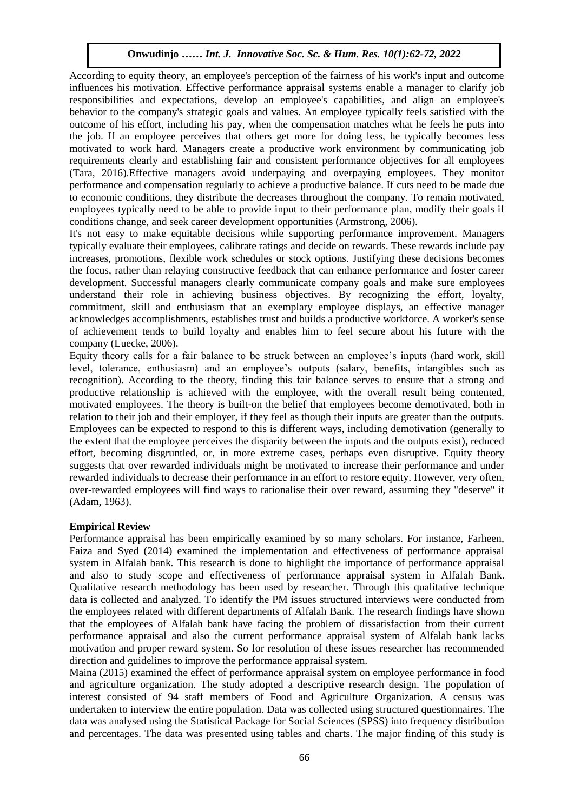According to equity theory, an employee's perception of the fairness of his work's input and outcome influences his motivation. Effective performance appraisal systems enable a manager to clarify job responsibilities and expectations, develop an employee's capabilities, and align an employee's responsionities and expectations, develop an employee's capabilities, and align an employee's behavior to the company's strategic goals and values. An employee typically feels satisfied with the outcome of his effort, including his pay, when the compensation matches what he feels he puts into the job. If an employee perceives that others get more for doing less, he typically becomes less the pair more for doing less. motivated to work hard. Managers create a productive work environment by communicating job requirements clearly and establishing fair and consistent performance objectives for all employees (Tara, 2016).Effective managers avoid underpaying and overpaying employees. They monitor performance and compensation regularly to achieve a productive balance. If cuts need to be made due to economic conditions, they distribute the decreases throughout the company. To remain motivated, employees typically need to be able to provide input to their performance plan, modify their goals if conditions change, and seek career development opportunities (Armstrong, 2006).

It's not easy to make equitable decisions while supporting performance improvement. Managers typically evaluate their employees, calibrate ratings and decide on rewards. These rewards include pay increases, promotions, flexible work schedules or stock options. Justifying these decisions becomes the focus, rather than relaying constructive feedback that can enhance performance and foster career development. Successful managers clearly communicate company goals and make sure employees understand their role in achieving business objectives. By recognizing the effort, loyalty, commitment, skill and enthusiasm that an exemplary employee displays, an effective manager acknowledges accomplishments, establishes trust and builds a productive workforce. A worker's sense of achievement tends to build loyalty and enables him to feel secure about his future with the company (Luecke, 2006).

Equity theory calls for a fair balance to be struck between an employee's inputs (hard work, skill level, tolerance, enthusiasm) and an employee's outputs (salary, benefits, intangibles such as recognition). According to the theory, finding this fair balance serves to ensure that a strong and productive relationship is achieved with the employee, with the overall result being contented, motivated employees. The theory is built-on the belief that employees become demotivated, both in relation to their job and their employer, if they feel as though their inputs are greater than the outputs. Employees can be expected to respond to this is different ways, including demotivation (generally to the extent that the employee perceives the disparity between the inputs and the outputs exist), reduced effort, becoming disgruntled, or, in more extreme cases, perhaps even disruptive. Equity theory suggests that over rewarded individuals might be motivated to increase their performance and under rewarded individuals to decrease their performance in an effort to restore equity. However, very often, over-rewarded employees will find ways to rationalise their over reward, assuming they "deserve" it (Adam, 1963).

# **Empirical Review**

Performance appraisal has been empirically examined by so many scholars. For instance, Farheen, Faiza and Syed (2014) examined the implementation and effectiveness of performance appraisal system in Alfalah bank. This research is done to highlight the importance of performance appraisal and also to study scope and effectiveness of performance appraisal system in Alfalah Bank. Qualitative research methodology has been used by researcher. Through this qualitative technique data is collected and analyzed. To identify the PM issues structured interviews were conducted from the employees related with different departments of Alfalah Bank. The research findings have shown that the employees of Alfalah bank have facing the problem of dissatisfaction from their current performance appraisal and also the current performance appraisal system of Alfalah bank lacks motivation and proper reward system. So for resolution of these issues researcher has recommended direction and guidelines to improve the performance appraisal system.

Maina (2015) examined the effect of performance appraisal system on employee performance in food and agriculture organization. The study adopted a descriptive research design. The population of interest consisted of 94 staff members of Food and Agriculture Organization. A census was undertaken to interview the entire population. Data was collected using structured questionnaires. The data was analysed using the Statistical Package for Social Sciences (SPSS) into frequency distribution and percentages. The data was presented using tables and charts. The major finding of this study is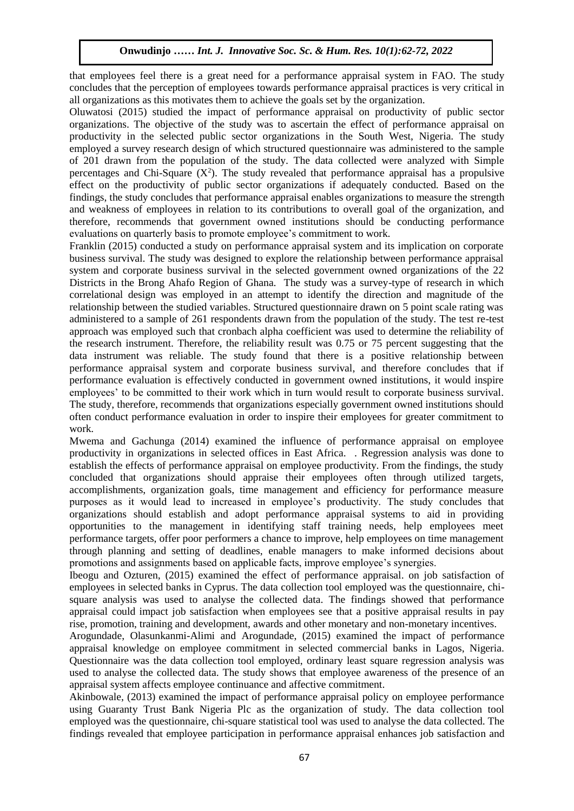that employees feel there is a great need for a performance appraisal system in FAO. The study concludes that the perception of employees towards performance appraisal practices is very critical in all organizations as this motivates them to achieve the goals set by the organization.

Oluwatosi (2015) studied the impact of performance appraisal on productivity of public sector organizations. The objective of the study was to ascertain the effect of performance appraisal on productivity in the selected public sector organizations in the South West, Nigeria. The study employed a survey research design of which structured questionnaire was administered to the sample employed a survey research design or which structured questionmane was administered to the sample of 201 drawn from the population of the study. The data collected were analyzed with Simple percentages and Chi-Square  $(X^2)$ . The study revealed that performance appraisal has a propulsive effect on the productivity of public sector organizations if adequately conducted. Based on the effect on the productivity of public sector organizations if adequately conducted. Based on the findings, the study concludes that performance appraisal enables organizations to measure the strength and weakness of employees in relation to its contributions to overall goal of the organization, and therefore, recommends that government owned institutions should be conducting performance evaluations on quarterly basis to promote employee's commitment to work.

Franklin (2015) conducted a study on performance appraisal system and its implication on corporate business survival. The study was designed to explore the relationship between performance appraisal system and corporate business survival in the selected government owned organizations of the 22 Districts in the Brong Ahafo Region of Ghana. The study was a survey-type of research in which correlational design was employed in an attempt to identify the direction and magnitude of the relationship between the studied variables. Structured questionnaire drawn on 5 point scale rating was administered to a sample of 261 respondents drawn from the population of the study. The test re-test approach was employed such that cronbach alpha coefficient was used to determine the reliability of the research instrument. Therefore, the reliability result was 0.75 or 75 percent suggesting that the data instrument was reliable. The study found that there is a positive relationship between performance appraisal system and corporate business survival, and therefore concludes that if performance evaluation is effectively conducted in government owned institutions, it would inspire employees' to be committed to their work which in turn would result to corporate business survival. The study, therefore, recommends that organizations especially government owned institutions should often conduct performance evaluation in order to inspire their employees for greater commitment to work.

Mwema and Gachunga (2014) examined the influence of performance appraisal on employee productivity in organizations in selected offices in East Africa. . Regression analysis was done to establish the effects of performance appraisal on employee productivity. From the findings, the study concluded that organizations should appraise their employees often through utilized targets, accomplishments, organization goals, time management and efficiency for performance measure purposes as it would lead to increased in employee's productivity. The study concludes that organizations should establish and adopt performance appraisal systems to aid in providing opportunities to the management in identifying staff training needs, help employees meet performance targets, offer poor performers a chance to improve, help employees on time management through planning and setting of deadlines, enable managers to make informed decisions about promotions and assignments based on applicable facts, improve employee's synergies.

Ibeogu and Ozturen, (2015) examined the effect of performance appraisal. on job satisfaction of employees in selected banks in Cyprus. The data collection tool employed was the questionnaire, chisquare analysis was used to analyse the collected data. The findings showed that performance appraisal could impact job satisfaction when employees see that a positive appraisal results in pay rise, promotion, training and development, awards and other monetary and non-monetary incentives.

Arogundade, Olasunkanmi-Alimi and Arogundade, (2015) examined the impact of performance appraisal knowledge on employee commitment in selected commercial banks in Lagos, Nigeria. Questionnaire was the data collection tool employed, ordinary least square regression analysis was used to analyse the collected data. The study shows that employee awareness of the presence of an appraisal system affects employee continuance and affective commitment.

Akinbowale, (2013) examined the impact of performance appraisal policy on employee performance using Guaranty Trust Bank Nigeria Plc as the organization of study. The data collection tool employed was the questionnaire, chi-square statistical tool was used to analyse the data collected. The findings revealed that employee participation in performance appraisal enhances job satisfaction and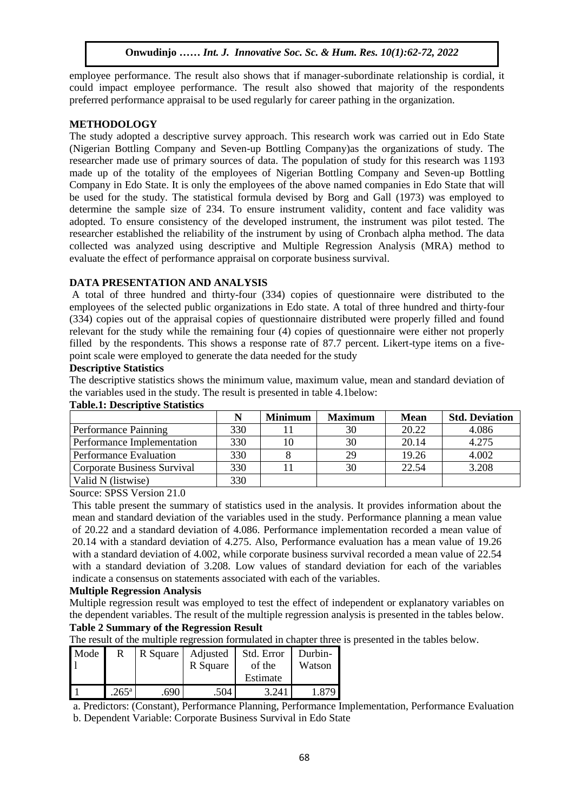employee performance. The result also shows that if manager-subordinate relationship is cordial, it could impact employee performance. The result also showed that majority of the respondents preferred performance appraisal to be used regularly for career pathing in the organization.

# **METHODOLOGY**

**The study adopted a descriptive survey approach.** This research work was carried out in Edo State The study adopted a descriptive survey approach. This research work was carried out in Edo State (Nigerian Bottling Company and Seven-up Bottling Company)as the organizations of study. The researcher made use of primary sources of data. The population of study for this research was 1193 made up of the totality of the employees of Nigerian Bottling Company and Seven-up Bottling Company in Edo State. It is only the employees of the above named companies in Edo State that will be used for the study. The statistical formula devised by Borg and Gall (1973) was employed to determine the sample size of 234. To ensure instrument validity, content and face validity was adopted. To ensure consistency of the developed instrument, the instrument was pilot tested. The researcher established the reliability of the instrument by using of Cronbach alpha method. The data collected was analyzed using descriptive and Multiple Regression Analysis (MRA) method to evaluate the effect of performance appraisal on corporate business survival.

# **DATA PRESENTATION AND ANALYSIS**

A total of three hundred and thirty-four (334) copies of questionnaire were distributed to the employees of the selected public organizations in Edo state. A total of three hundred and thirty-four (334) copies out of the appraisal copies of questionnaire distributed were properly filled and found relevant for the study while the remaining four (4) copies of questionnaire were either not properly filled by the respondents. This shows a response rate of 87.7 percent. Likert-type items on a fivepoint scale were employed to generate the data needed for the study

# **Descriptive Statistics**

The descriptive statistics shows the minimum value, maximum value, mean and standard deviation of the variables used in the study. The result is presented in table 4.1below:

|                             |     | <b>Minimum</b> | <b>Maximum</b> | <b>Mean</b> | <b>Std. Deviation</b> |
|-----------------------------|-----|----------------|----------------|-------------|-----------------------|
| Performance Painning        | 330 |                | 30             | 20.22       | 4.086                 |
| Performance Implementation  | 330 | 10             | 30             | 20.14       | 4.275                 |
| Performance Evaluation      | 330 |                | 29             | 19.26       | 4.002                 |
| Corporate Business Survival | 330 |                | 30             | 22.54       | 3.208                 |
| Valid N (listwise)          | 330 |                |                |             |                       |

# **Table.1: Descriptive Statistics**

Source: SPSS Version 21.0

This table present the summary of statistics used in the analysis. It provides information about the mean and standard deviation of the variables used in the study. Performance planning a mean value of 20.22 and a standard deviation of 4.086. Performance implementation recorded a mean value of 20.14 with a standard deviation of 4.275. Also, Performance evaluation has a mean value of 19.26 with a standard deviation of 4.002, while corporate business survival recorded a mean value of 22.54 with a standard deviation of 3.208. Low values of standard deviation for each of the variables indicate a consensus on statements associated with each of the variables.

# **Multiple Regression Analysis**

Multiple regression result was employed to test the effect of independent or explanatory variables on the dependent variables. The result of the multiple regression analysis is presented in the tables below.

# **Table 2 Summary of the Regression Result**

The result of the multiple regression formulated in chapter three is presented in the tables below.

| Mode | R                  | R Square | Adjusted<br>R Square | Std. Error<br>of the | Durbin-<br>Watson |
|------|--------------------|----------|----------------------|----------------------|-------------------|
|      |                    |          |                      | Estimate             |                   |
|      | $265^{\mathrm{a}}$ | .690     | .504                 | 3 24 1               | 879               |

a. Predictors: (Constant), Performance Planning, Performance Implementation, Performance Evaluation

b. Dependent Variable: Corporate Business Survival in Edo State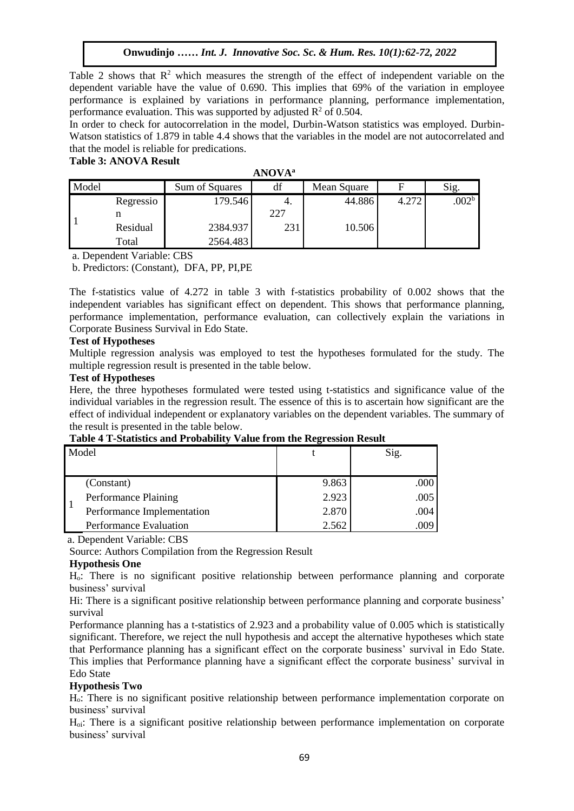Table 2 shows that  $R^2$  which measures the strength of the effect of independent variable on the dependent variable have the value of 0.690. This implies that 69% of the variation in employee performance is explained by variations in performance planning, performance implementation, performance evaluation. This was supported by adjusted  $R^2$  of 0.504.

In order to check for autocorrelation in the model, Durbin-Watson statistics was employed. Durbin-In order to check for autocorrelation in the model, Durbin-watson statistics was employed. Durbin-<br>Watson statistics of 1.879 in table 4.4 shows that the variables in the model are not autocorrelated and that the model is reliable for predications. Table 3: ANOVA Result **For March 2020** is the Medical Soc. Science Soc. 8(1):1-11, 2020

| <b>ANOVA</b> <sup>a</sup> |  |  |
|---------------------------|--|--|
|---------------------------|--|--|

| Model |           | Sum of Squares | df  | Mean Square |       | Sig.              |
|-------|-----------|----------------|-----|-------------|-------|-------------------|
|       | Regressio | 179.546        |     | 44.886      | 4.272 | .002 <sup>b</sup> |
|       |           |                | 227 |             |       |                   |
|       | Residual  | 2384.937       | 231 | 10.506      |       |                   |
|       | Total     | 2564.483       |     |             |       |                   |

a. Dependent Variable: CBS

b. Predictors: (Constant), DFA, PP, PI,PE

The f-statistics value of 4.272 in table 3 with f-statistics probability of 0.002 shows that the independent variables has significant effect on dependent. This shows that performance planning, performance implementation, performance evaluation, can collectively explain the variations in Corporate Business Survival in Edo State.

#### **Test of Hypotheses**

Multiple regression analysis was employed to test the hypotheses formulated for the study. The multiple regression result is presented in the table below.

#### **Test of Hypotheses**

Here, the three hypotheses formulated were tested using t-statistics and significance value of the individual variables in the regression result. The essence of this is to ascertain how significant are the effect of individual independent or explanatory variables on the dependent variables. The summary of the result is presented in the table below.

| <b>Table + T-Statistics and I Fobability value II only life Regi ession Result</b> |       |  |  |  |
|------------------------------------------------------------------------------------|-------|--|--|--|
| Model                                                                              |       |  |  |  |
| $\sim$ $\sim$                                                                      | 0.022 |  |  |  |

# **Table 4 T-Statistics and Probability Value from the Regression Result**

1  $(Constant)$  9.863 .000 Performance Plaining 2.923 .005 Performance Implementation 2.870 2.870 Performance Evaluation 2.562 .009

a. Dependent Variable: CBS

Source: Authors Compilation from the Regression Result

#### **Hypothesis One**

Ho: There is no significant positive relationship between performance planning and corporate business' survival

Hi: There is a significant positive relationship between performance planning and corporate business' survival

Performance planning has a t-statistics of 2.923 and a probability value of 0.005 which is statistically significant. Therefore, we reject the null hypothesis and accept the alternative hypotheses which state that Performance planning has a significant effect on the corporate business' survival in Edo State. This implies that Performance planning have a significant effect the corporate business' survival in Edo State

# **Hypothesis Two**

Ho: There is no significant positive relationship between performance implementation corporate on business' survival

Ho<sup>i</sup>: There is a significant positive relationship between performance implementation on corporate business' survival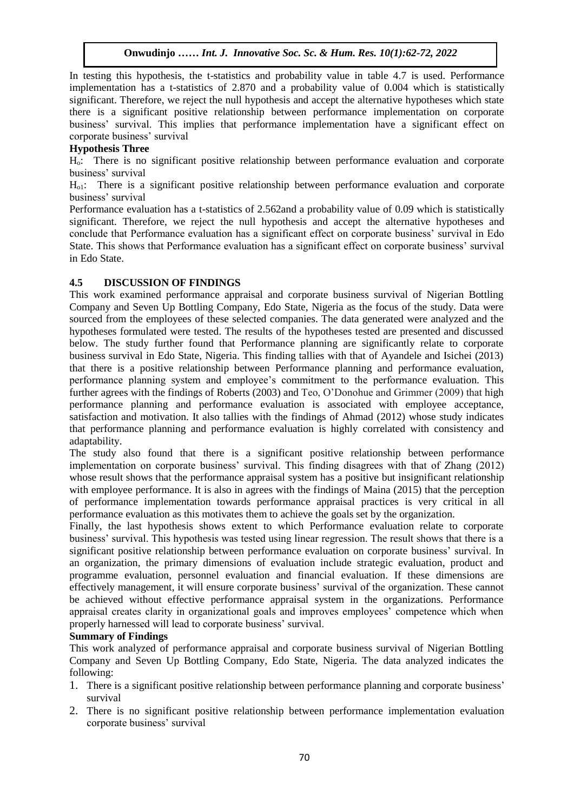In testing this hypothesis, the t-statistics and probability value in table 4.7 is used. Performance implementation has a t-statistics of 2.870 and a probability value of 0.004 which is statistically significant. Therefore, we reject the null hypothesis and accept the alternative hypotheses which state significant. Therefore, we refect the hum hypothesis and accept the anemative hypotheses which state<br>there is a significant positive relationship between performance implementation on corporate business' survival. This implies that performance implementation have a significant effect on corporate business' survivel corporate business' survival

# **Hypothesis Three**

 $H_0$ : There is no significant positive relationship between performance evaluation and corporate business' survival

 $H<sub>o1</sub>$ : There is a significant positive relationship between performance evaluation and corporate business' survival

Performance evaluation has a t-statistics of 2.562and a probability value of 0.09 which is statistically significant. Therefore, we reject the null hypothesis and accept the alternative hypotheses and conclude that Performance evaluation has a significant effect on corporate business' survival in Edo State. This shows that Performance evaluation has a significant effect on corporate business' survival in Edo State.

# **4.5 DISCUSSION OF FINDINGS**

This work examined performance appraisal and corporate business survival of Nigerian Bottling Company and Seven Up Bottling Company, Edo State, Nigeria as the focus of the study. Data were sourced from the employees of these selected companies. The data generated were analyzed and the hypotheses formulated were tested. The results of the hypotheses tested are presented and discussed below. The study further found that Performance planning are significantly relate to corporate business survival in Edo State, Nigeria. This finding tallies with that of Ayandele and Isichei (2013) that there is a positive relationship between Performance planning and performance evaluation, performance planning system and employee's commitment to the performance evaluation. This further agrees with the findings of Roberts (2003) and Teo, O'Donohue and Grimmer (2009) that high performance planning and performance evaluation is associated with employee acceptance, satisfaction and motivation. It also tallies with the findings of Ahmad (2012) whose study indicates that performance planning and performance evaluation is highly correlated with consistency and adaptability.

The study also found that there is a significant positive relationship between performance implementation on corporate business' survival. This finding disagrees with that of Zhang (2012) whose result shows that the performance appraisal system has a positive but insignificant relationship with employee performance. It is also in agrees with the findings of Maina (2015) that the perception of performance implementation towards performance appraisal practices is very critical in all performance evaluation as this motivates them to achieve the goals set by the organization.

Finally, the last hypothesis shows extent to which Performance evaluation relate to corporate business' survival. This hypothesis was tested using linear regression. The result shows that there is a significant positive relationship between performance evaluation on corporate business' survival. In an organization, the primary dimensions of evaluation include strategic evaluation, product and programme evaluation, personnel evaluation and financial evaluation. If these dimensions are effectively management, it will ensure corporate business' survival of the organization. These cannot be achieved without effective performance appraisal system in the organizations. Performance appraisal creates clarity in organizational goals and improves employees' competence which when properly harnessed will lead to corporate business' survival.

# **Summary of Findings**

This work analyzed of performance appraisal and corporate business survival of Nigerian Bottling Company and Seven Up Bottling Company, Edo State, Nigeria. The data analyzed indicates the following:

- 1. There is a significant positive relationship between performance planning and corporate business' survival
- 2. There is no significant positive relationship between performance implementation evaluation corporate business' survival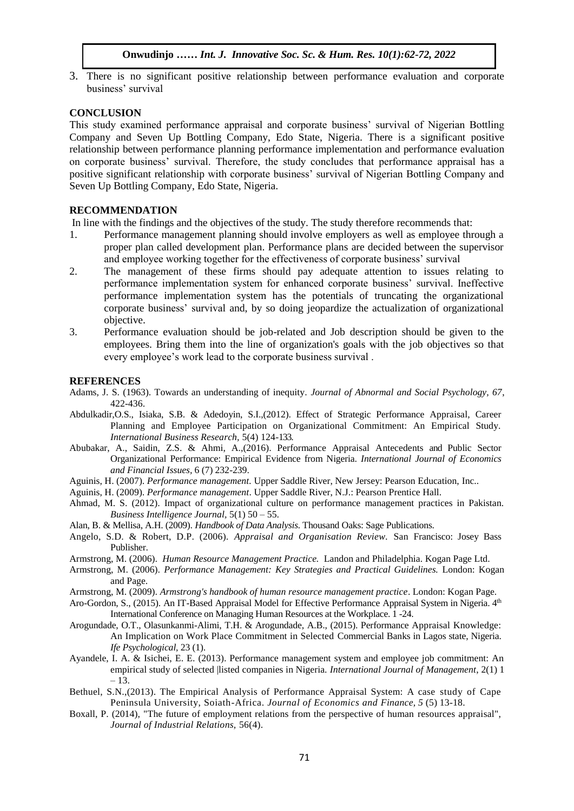3. There is no significant positive relationship between performance evaluation and corporate business' survival

#### **CONCLUSION**  $\mathbf{M}$

This study examined performance appraisal and corporate business' survival of Nigerian Bottling This staty examined performance appraisar and corporate susficess survival of Higenan Botting<br>Company and Seven Up Bottling Company, Edo State, Nigeria. There is a significant positive relationship between performance planning performance implementation and performance evaluation on corporate business' survival. Therefore, the study concludes that performance appraisal has a positive significant relationship with corporate business' survival of Nigerian Bottling Company and Seven Up Bottling Company, Edo State, Nigeria.

#### **RECOMMENDATION**

In line with the findings and the objectives of the study. The study therefore recommends that:

- 1. Performance management planning should involve employers as well as employee through a proper plan called development plan. Performance plans are decided between the supervisor and employee working together for the effectiveness of corporate business' survival
- 2. The management of these firms should pay adequate attention to issues relating to performance implementation system for enhanced corporate business' survival. Ineffective performance implementation system has the potentials of truncating the organizational corporate business' survival and, by so doing jeopardize the actualization of organizational objective.
- 3. Performance evaluation should be job-related and Job description should be given to the employees. Bring them into the line of organization's goals with the job objectives so that every employee's work lead to the corporate business survival .

#### **REFERENCES**

- Adams, J. S. (1963). Towards an understanding of inequity. *Journal of Abnormal and Social Psychology, 67*, 422-436.
- Abdulkadir,O.S., Isiaka, S.B. & Adedoyin, S.I.,(2012). Effect of Strategic Performance Appraisal, Career Planning and Employee Participation on Organizational Commitment: An Empirical Study. *International Business Research,* 5(4) 124-133.
- Abubakar, A., Saidin, Z.S. & Ahmi, A.,(2016). Performance Appraisal Antecedents and Public Sector Organizational Performance: Empirical Evidence from Nigeria. *International Journal of Economics and Financial Issues,* 6 (7) 232-239.
- Aguinis, H. (2007). *Performance management.* Upper Saddle River, New Jersey: Pearson Education, Inc..
- Aguinis, H. (2009). *Performance management*. Upper Saddle River, N.J.: Pearson Prentice Hall.
- Ahmad, M. S. (2012). Impact of organizational culture on performance management practices in Pakistan. *Business Intelligence Journal,* 5(1) 50 – 55.
- Alan, B. & Mellisa, A.H. (2009). *Handbook of Data Analysis.* Thousand Oaks: Sage Publications.
- Angelo, S.D. & Robert, D.P. (2006). *Appraisal and Organisation Review.* San Francisco: Josey Bass Publisher.
- Armstrong, M. (2006). *Human Resource Management Practice.* Landon and Philadelphia. Kogan Page Ltd.
- Armstrong, M. (2006). *Performance Management: Key Strategies and Practical Guidelines.* London: Kogan and Page.
- Armstrong, M. (2009). *Armstrong's handbook of human resource management practice*. London: Kogan Page.
- Aro-Gordon, S., (2015). An IT-Based Appraisal Model for Effective Performance Appraisal System in Nigeria.  $4<sup>th</sup>$ International Conference on Managing Human Resources at the Workplace. 1 -24.
- Arogundade, O.T., Olasunkanmi-Alimi, T.H. & Arogundade, A.B., (2015). Performance Appraisal Knowledge: An Implication on Work Place Commitment in Selected Commercial Banks in Lagos state, Nigeria. *Ife Psychological,* 23 (1).
- Ayandele, I. A. & Isichei, E. E. (2013). Performance management system and employee job commitment: An empirical study of selected |listed companies in Nigeria. *International Journal of Management*, 2(1) 1 – 13.
- Bethuel, S.N.,(2013). The Empirical Analysis of Performance Appraisal System: A case study of Cape Peninsula University, Soiath-Africa. *Journal of Economics and Finance, 5* (5) 13-18.
- Boxall, P. (2014), "The future of employment relations from the perspective of human resources appraisal", *Journal of Industrial Relations,* 56(4).